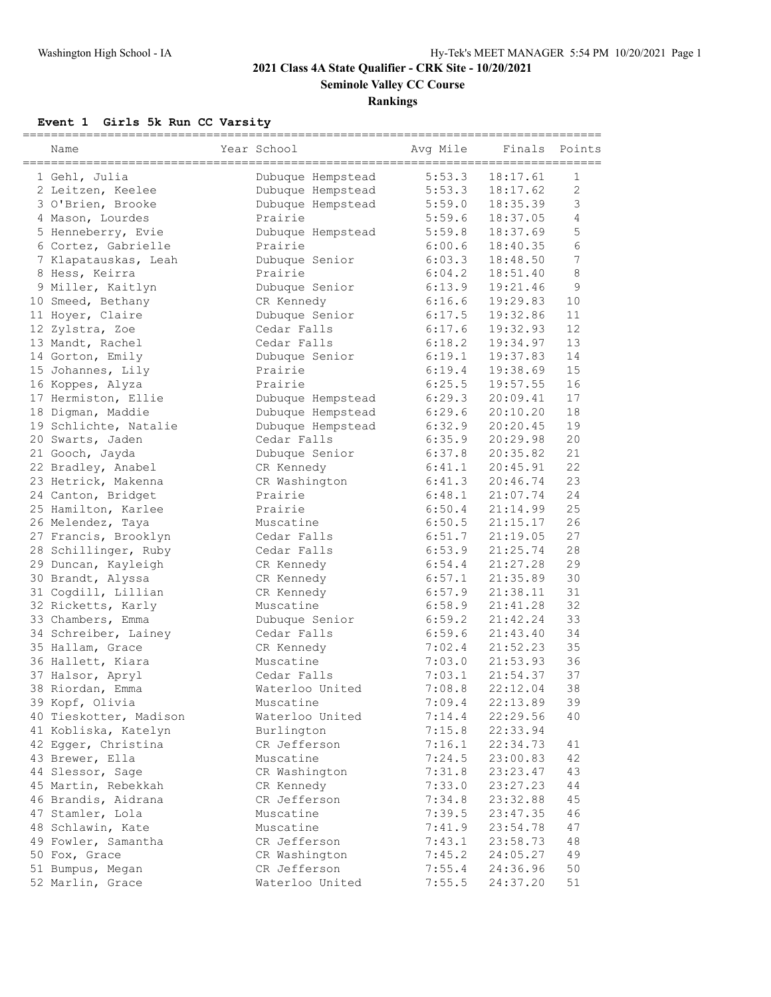# **2021 Class 4A State Qualifier - CRK Site - 10/20/2021**

**Seminole Valley CC Course**

## **Rankings**

# **Event 1 Girls 5k Run CC Varsity**

| Name                   | Year School       | ===========<br>Avg Mile | Finals   | Points           |
|------------------------|-------------------|-------------------------|----------|------------------|
| 1 Gehl, Julia          | Dubuque Hempstead | 5:53.3                  | 18:17.61 | 1                |
| 2 Leitzen, Keelee      | Dubuque Hempstead | 5:53.3                  | 18:17.62 | $\overline{c}$   |
| 3 O'Brien, Brooke      | Dubuque Hempstead | 5:59.0                  | 18:35.39 | 3                |
| 4 Mason, Lourdes       | Prairie           | 5:59.6                  | 18:37.05 | 4                |
| 5 Henneberry, Evie     | Dubuque Hempstead | 5:59.8                  | 18:37.69 | 5                |
| 6 Cortez, Gabrielle    | Prairie           | 6:00.6                  | 18:40.35 | 6                |
| 7 Klapatauskas, Leah   | Dubuque Senior    | 6:03.3                  | 18:48.50 | $\boldsymbol{7}$ |
| 8 Hess, Keirra         | Prairie           | 6:04.2                  | 18:51.40 | 8                |
| 9 Miller, Kaitlyn      | Dubuque Senior    | 6:13.9                  | 19:21.46 | 9                |
| 10 Smeed, Bethany      | CR Kennedy        | 6:16.6                  | 19:29.83 | 10               |
| 11 Hoyer, Claire       | Dubuque Senior    | 6:17.5                  | 19:32.86 | 11               |
| 12 Zylstra, Zoe        | Cedar Falls       | 6:17.6                  | 19:32.93 | 12               |
| 13 Mandt, Rachel       | Cedar Falls       | 6:18.2                  | 19:34.97 | 13               |
| 14 Gorton, Emily       | Dubuque Senior    | 6:19.1                  | 19:37.83 | 14               |
| 15 Johannes, Lily      | Prairie           | 6:19.4                  | 19:38.69 | 15               |
| 16 Koppes, Alyza       | Prairie           | 6:25.5                  | 19:57.55 | 16               |
| 17 Hermiston, Ellie    | Dubuque Hempstead | 6:29.3                  | 20:09.41 | 17               |
| 18 Digman, Maddie      | Dubuque Hempstead | 6:29.6                  | 20:10.20 | 18               |
| 19 Schlichte, Natalie  | Dubuque Hempstead | 6:32.9                  | 20:20.45 | 19               |
| 20 Swarts, Jaden       | Cedar Falls       | 6:35.9                  | 20:29.98 | 20               |
| 21 Gooch, Jayda        | Dubuque Senior    | 6:37.8                  | 20:35.82 | 21               |
| 22 Bradley, Anabel     | CR Kennedy        | 6:41.1                  | 20:45.91 | 22               |
| 23 Hetrick, Makenna    | CR Washington     | 6:41.3                  | 20:46.74 | 23               |
| 24 Canton, Bridget     | Prairie           | 6:48.1                  | 21:07.74 | 24               |
| 25 Hamilton, Karlee    | Prairie           | 6:50.4                  | 21:14.99 | 25               |
| 26 Melendez, Taya      | Muscatine         | 6:50.5                  | 21:15.17 | 26               |
| 27 Francis, Brooklyn   | Cedar Falls       | 6:51.7                  | 21:19.05 | 27               |
| 28 Schillinger, Ruby   | Cedar Falls       | 6:53.9                  | 21:25.74 | 28               |
| 29 Duncan, Kayleigh    | CR Kennedy        | 6:54.4                  | 21:27.28 | 29               |
| 30 Brandt, Alyssa      | CR Kennedy        | 6:57.1                  | 21:35.89 | 30               |
| 31 Cogdill, Lillian    | CR Kennedy        | 6:57.9                  | 21:38.11 | 31               |
| 32 Ricketts, Karly     | Muscatine         | 6:58.9                  | 21:41.28 | 32               |
| 33 Chambers, Emma      | Dubuque Senior    | 6:59.2                  | 21:42.24 | 33               |
| 34 Schreiber, Lainey   | Cedar Falls       | 6:59.6                  | 21:43.40 | 34               |
| 35 Hallam, Grace       | CR Kennedy        | 7:02.4                  | 21:52.23 | 35               |
| 36 Hallett, Kiara      | Muscatine         | 7:03.0                  | 21:53.93 | 36               |
| 37 Halsor, Apryl       | Cedar Falls       | 7:03.1                  | 21:54.37 | 37               |
| 38 Riordan, Emma       | Waterloo United   | 7:08.8                  | 22:12.04 | 38               |
| 39 Kopf, Olivia        | Muscatine         | 7:09.4                  | 22:13.89 | 39               |
| 40 Tieskotter, Madison | Waterloo United   | 7:14.4                  | 22:29.56 | 40               |
| 41 Kobliska, Katelyn   | Burlington        | 7:15.8                  | 22:33.94 |                  |
| 42 Egger, Christina    | CR Jefferson      | 7:16.1                  | 22:34.73 | 41               |
| 43 Brewer, Ella        | Muscatine         | 7:24.5                  | 23:00.83 | 42               |
| 44 Slessor, Sage       | CR Washington     | 7:31.8                  | 23:23.47 | 43               |
| 45 Martin, Rebekkah    | CR Kennedy        | 7:33.0                  | 23:27.23 | 44               |
| 46 Brandis, Aidrana    | CR Jefferson      | 7:34.8                  | 23:32.88 | 45               |
| 47 Stamler, Lola       | Muscatine         | 7:39.5                  | 23:47.35 | 46               |
| 48 Schlawin, Kate      | Muscatine         | 7:41.9                  | 23:54.78 | 47               |
| 49 Fowler, Samantha    | CR Jefferson      | 7:43.1                  | 23:58.73 | 48               |
| 50 Fox, Grace          | CR Washington     | 7:45.2                  | 24:05.27 | 49               |
| 51 Bumpus, Megan       | CR Jefferson      | 7:55.4                  | 24:36.96 | $50$             |
| 52 Marlin, Grace       | Waterloo United   | 7:55.5                  | 24:37.20 | 51               |
|                        |                   |                         |          |                  |